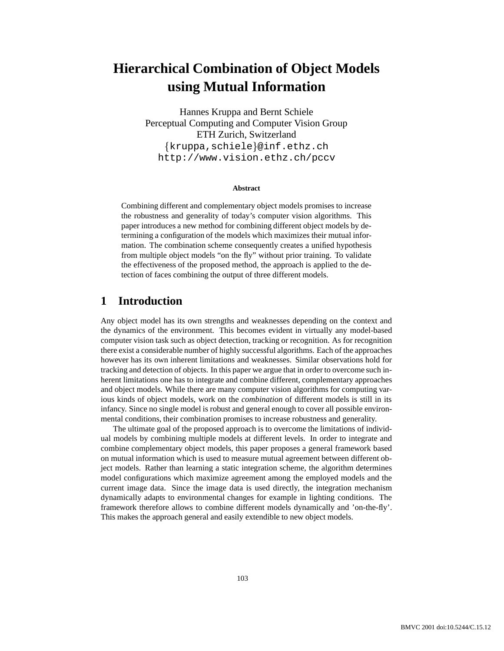# **Hierarchical Combination of Object Models using Mutual Information**

Hannes Kruppa and Bernt Schiele Perceptual Computing and Computer Vision Group ETH Zurich, Switzerland  $\{ \text{kruppa}, \text{schiele} \}$ @inf.ethz.ch http://www.vision.ethz.ch/pccv

#### **Abstract**

Combining different and complementary object models promises to increase the robustness and generality of today's computer vision algorithms. This paper introduces a new method for combining different object models by determining a configuration of the models which maximizes their mutual information. The combination scheme consequently creates a unified hypothesis from multiple object models "on the fly" without prior training. To validate the effectiveness of the proposed method, the approach is applied to the detection of faces combining the output of three different models.

## **1 Introduction**

Any object model has its own strengths and weaknesses depending on the context and the dynamics of the environment. This becomes evident in virtually any model-based computer vision task such as object detection, tracking or recognition. As for recognition there exist a considerable number of highly successful algorithms. Each of the approaches however has its own inherent limitations and weaknesses. Similar observations hold for tracking and detection of objects. In this paper we argue that in order to overcome such inherent limitations one has to integrate and combine different, complementary approaches and object models. While there are many computer vision algorithms for computing various kinds of object models, work on the *combination* of different models is still in its infancy. Since no single model is robust and general enough to cover all possible environmental conditions, their combination promises to increase robustness and generality.

The ultimate goal of the proposed approach is to overcome the limitations of individual models by combining multiple models at different levels. In order to integrate and combine complementary object models, this paper proposes a general framework based on mutual information which is used to measure mutual agreement between different object models. Rather than learning a static integration scheme, the algorithm determines model configurations which maximize agreement among the employed models and the current image data. Since the image data is used directly, the integration mechanism dynamically adapts to environmental changes for example in lighting conditions. The framework therefore allows to combine different models dynamically and 'on-the-fly'. This makes the approach general and easily extendible to new object models.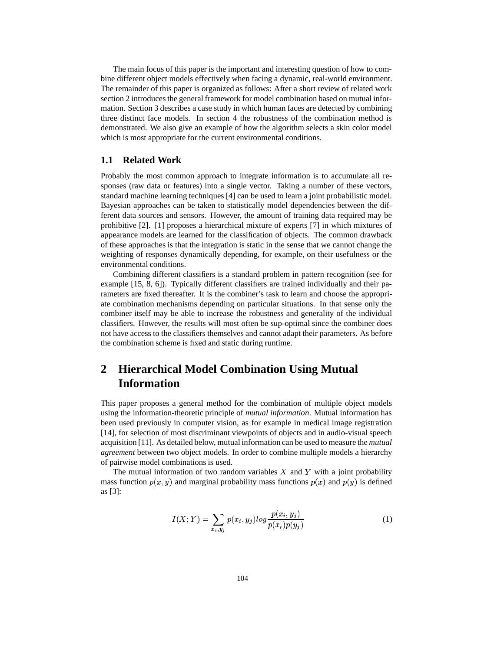The main focus of this paper is the important and interesting question of how to combine different object models effectively when facing a dynamic, real-world environment. The remainder of this paper is organized as follows: After a short review of related work section 2 introduces the general framework for model combination based on mutual information. Section 3 describes a case study in which human faces are detected by combining three distinct face models. In section 4 the robustness of the combination method is demonstrated. We also give an example of how the algorithm selects a skin color model which is most appropriate for the current environmental conditions.

#### **1.1 Related Work**

Probably the most common approach to integrate information is to accumulate all responses (raw data or features) into a single vector. Taking a number of these vectors, standard machine learning techniques [4] can be used to learn a joint probabilistic model. Bayesian approaches can be taken to statistically model dependencies between the different data sources and sensors. However, the amount of training data required may be prohibitive [2]. [1] proposes a hierarchical mixture of experts [7] in which mixtures of appearance models are learned for the classification of objects. The common drawback of these approaches is that the integration is static in the sense that we cannot change the weighting of responses dynamically depending, for example, on their usefulness or the environmental conditions.

Combining different classifiers is a standard problem in pattern recognition (see for example [15, 8, 6]). Typically different classifiers are trained individually and their parameters are fixed thereafter. It is the combiner's task to learn and choose the appropriate combination mechanisms depending on particular situations. In that sense only the combiner itself may be able to increase the robustness and generality of the individual classifiers. However, the results will most often be sup-optimal since the combiner does not have access to the classifiers themselves and cannot adapt their parameters. As before the combination scheme is fixed and static during runtime.

# **2 Hierarchical Model Combination Using Mutual Information**

This paper proposes a general method for the combination of multiple object models using the information-theoretic principle of *mutual information*. Mutual information has been used previously in computer vision, as for example in medical image registration [14], for selection of most discriminant viewpoints of objects and in audio-visual speech acquisition [11]. As detailed below, mutual information can be used to measure the *mutual agreement* between two object models. In order to combine multiple models a hierarchy of pairwise model combinations is used.

The mutual information of two random variables  $X$  and  $Y$  with a joint probability mass function  $p(x, y)$  and marginal probability mass functions  $p(x)$  and  $p(y)$  is defined as [3]:

$$
I(X;Y) = \sum_{x_i, y_j} p(x_i, y_j) \log \frac{p(x_i, y_j)}{p(x_i)p(y_j)} \tag{1}
$$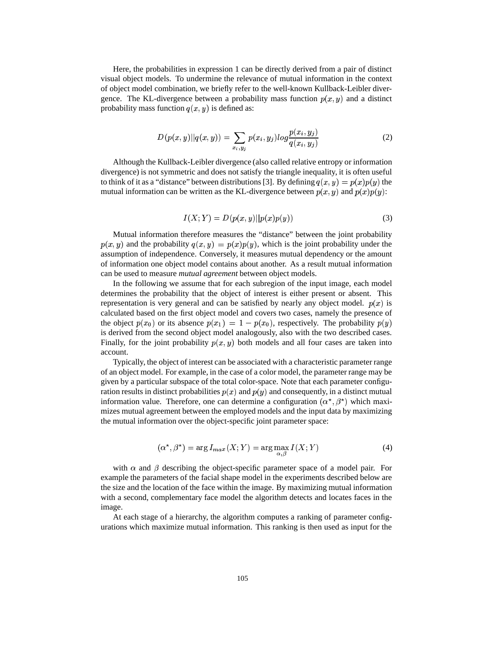Here, the probabilities in expression 1 can be directly derived from a pair of distinct visual object models. To undermine the relevance of mutual information in the context of object model combination, we briefly refer to the well-known Kullback-Leibler divergence. The KL-divergence between a probability mass function  $p(x, y)$  and a distinct probability mass function  $q(x, y)$  is defined as:

$$
D(p(x, y)||q(x, y)) = \sum_{x_i, y_j} p(x_i, y_j) \log \frac{p(x_i, y_j)}{q(x_i, y_j)}
$$
(2)

Although the Kullback-Leibler divergence (also called relative entropy or information divergence) is not symmetric and does not satisfy the triangle inequality, it is often useful to think of it as a "distance" between distributions [3]. By defining  $q(x, y) = p(x)p(y)$  the mutual information can be written as the KL-divergence between  $p(x, y)$  and  $p(x)p(y)$ :

$$
I(X;Y) = D(p(x,y)||p(x)p(y))
$$
\n(3)

Mutual information therefore measures the "distance" between the joint probability  $p(x, y)$  and the probability  $q(x, y) = p(x)p(y)$ , which is the joint probability under the assumption of independence. Conversely, it measures mutual dependency or the amount of information one object model contains about another. As a result mutual information can be used to measure *mutual agreement* between object models.

In the following we assume that for each subregion of the input image, each model determines the probability that the object of interest is either present or absent. This representation is very general and can be satisfied by nearly any object model.  $p(x)$  is calculated based on the first object model and covers two cases, namely the presence of the object  $p(x_0)$  or its absence  $p(x_1) = 1 - p(x_0)$ , respectively. The probability  $p(y)$ is derived from the second object model analogously, also with the two described cases. Finally, for the joint probability  $p(x, y)$  both models and all four cases are taken into account.

Typically, the object of interest can be associated with a characteristic parameter range of an object model. For example, in the case of a color model, the parameter range may be given by a particular subspace of the total color-space. Note that each parameter configuration results in distinct probabilities  $p(x)$  and  $p(y)$  and consequently, in a distinct mutual information value. Therefore, one can determine a configuration  $(\alpha^*, \beta^*)$  which maximizes mutual agreement between the employed models and the input data by maximizing the mutual information over the object-specific joint parameter space:

$$
(\alpha^*, \beta^*) = \arg I_{max}(X; Y) = \arg \max_{\alpha, \beta} I(X; Y)
$$
 (4)

with  $\alpha$  and  $\beta$  describing the object-specific parameter space of a model pair. For example the parameters of the facial shape model in the experiments described below are the size and the location of the face within the image. By maximizing mutual information with a second, complementary face model the algorithm detects and locates faces in the image.

At each stage of a hierarchy, the algorithm computes a ranking of parameter configurations which maximize mutual information. This ranking is then used as input for the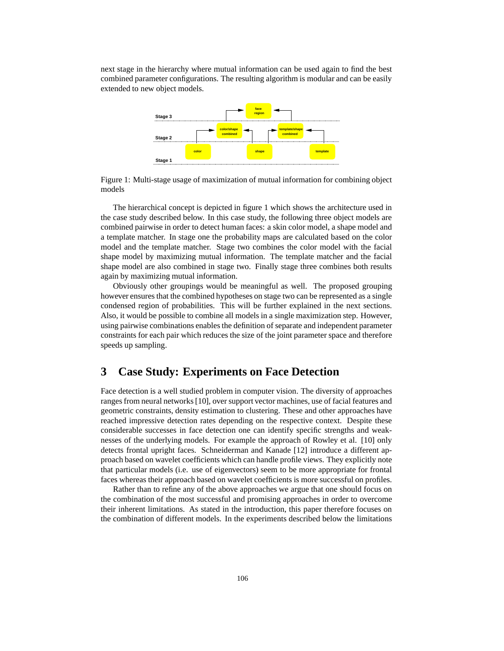next stage in the hierarchy where mutual information can be used again to find the best combined parameter configurations. The resulting algorithm is modular and can be easily extended to new object models.



Figure 1: Multi-stage usage of maximization of mutual information for combining object models

The hierarchical concept is depicted in figure 1 which shows the architecture used in the case study described below. In this case study, the following three object models are combined pairwise in order to detect human faces: a skin color model, a shape model and a template matcher. In stage one the probability maps are calculated based on the color model and the template matcher. Stage two combines the color model with the facial shape model by maximizing mutual information. The template matcher and the facial shape model are also combined in stage two. Finally stage three combines both results again by maximizing mutual information.

Obviously other groupings would be meaningful as well. The proposed grouping however ensures that the combined hypotheses on stage two can be represented as a single condensed region of probabilities. This will be further explained in the next sections. Also, it would be possible to combine all models in a single maximization step. However, using pairwise combinations enables the definition of separate and independent parameter constraints for each pair which reduces the size of the joint parameter space and therefore speeds up sampling.

## **3 Case Study: Experiments on Face Detection**

Face detection is a well studied problem in computer vision. The diversity of approaches ranges from neural networks [10], over support vector machines, use of facial features and geometric constraints, density estimation to clustering. These and other approaches have reached impressive detection rates depending on the respective context. Despite these considerable successes in face detection one can identify specific strengths and weaknesses of the underlying models. For example the approach of Rowley et al. [10] only detects frontal upright faces. Schneiderman and Kanade [12] introduce a different approach based on wavelet coefficients which can handle profile views. They explicitly note that particular models (i.e. use of eigenvectors) seem to be more appropriate for frontal faces whereas their approach based on wavelet coefficients is more successful on profiles.

Rather than to refine any of the above approaches we argue that one should focus on the combination of the most successful and promising approaches in order to overcome their inherent limitations. As stated in the introduction, this paper therefore focuses on the combination of different models. In the experiments described below the limitations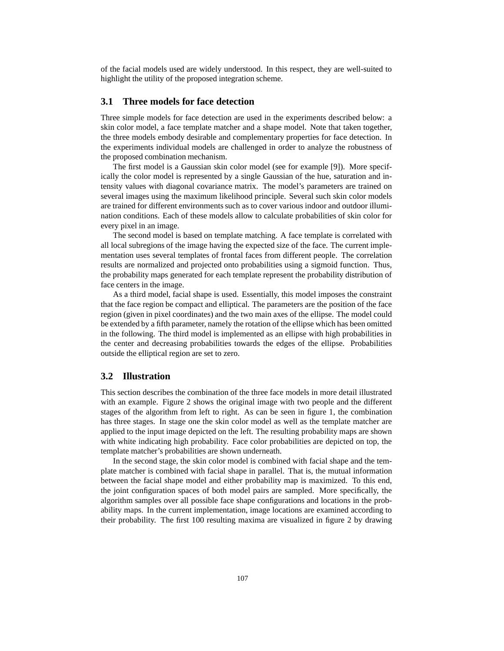of the facial models used are widely understood. In this respect, they are well-suited to highlight the utility of the proposed integration scheme.

#### **3.1 Three models for face detection**

Three simple models for face detection are used in the experiments described below: a skin color model, a face template matcher and a shape model. Note that taken together, the three models embody desirable and complementary properties for face detection. In the experiments individual models are challenged in order to analyze the robustness of the proposed combination mechanism.

The first model is a Gaussian skin color model (see for example [9]). More specifically the color model is represented by a single Gaussian of the hue, saturation and intensity values with diagonal covariance matrix. The model's parameters are trained on several images using the maximum likelihood principle. Several such skin color models are trained for different environments such as to cover various indoor and outdoor illumination conditions. Each of these models allow to calculate probabilities of skin color for every pixel in an image.

The second model is based on template matching. A face template is correlated with all local subregions of the image having the expected size of the face. The current implementation uses several templates of frontal faces from different people. The correlation results are normalized and projected onto probabilities using a sigmoid function. Thus, the probability maps generated for each template represent the probability distribution of face centers in the image.

As a third model, facial shape is used. Essentially, this model imposes the constraint that the face region be compact and elliptical. The parameters are the position of the face region (given in pixel coordinates) and the two main axes of the ellipse. The model could be extended by a fifth parameter, namely the rotation of the ellipse which has been omitted in the following. The third model is implemented as an ellipse with high probabilities in the center and decreasing probabilities towards the edges of the ellipse. Probabilities outside the elliptical region are set to zero.

#### **3.2 Illustration**

This section describes the combination of the three face models in more detail illustrated with an example. Figure 2 shows the original image with two people and the different stages of the algorithm from left to right. As can be seen in figure 1, the combination has three stages. In stage one the skin color model as well as the template matcher are applied to the input image depicted on the left. The resulting probability maps are shown with white indicating high probability. Face color probabilities are depicted on top, the template matcher's probabilities are shown underneath.

In the second stage, the skin color model is combined with facial shape and the template matcher is combined with facial shape in parallel. That is, the mutual information between the facial shape model and either probability map is maximized. To this end, the joint configuration spaces of both model pairs are sampled. More specifically, the algorithm samples over all possible face shape configurations and locations in the probability maps. In the current implementation, image locations are examined according to their probability. The first 100 resulting maxima are visualized in figure 2 by drawing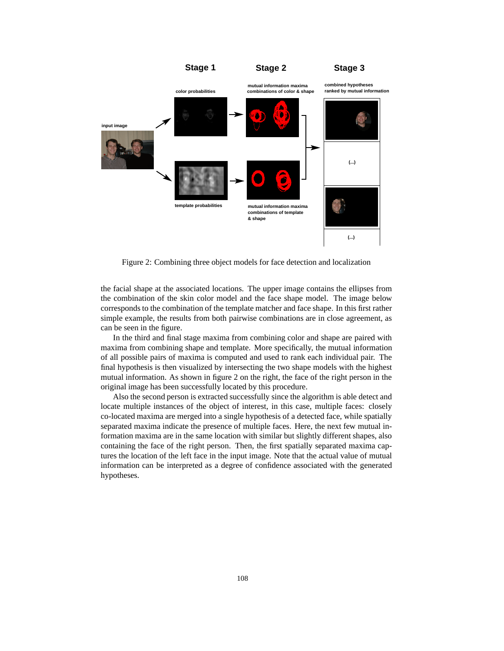

Figure 2: Combining three object models for face detection and localization

the facial shape at the associated locations. The upper image contains the ellipses from the combination of the skin color model and the face shape model. The image below corresponds to the combination of the template matcher and face shape. In this first rather simple example, the results from both pairwise combinations are in close agreement, as can be seen in the figure.

In the third and final stage maxima from combining color and shape are paired with maxima from combining shape and template. More specifically, the mutual information of all possible pairs of maxima is computed and used to rank each individual pair. The final hypothesis is then visualized by intersecting the two shape models with the highest mutual information. As shown in figure 2 on the right, the face of the right person in the original image has been successfully located by this procedure.

Also the second person is extracted successfully since the algorithm is able detect and locate multiple instances of the object of interest, in this case, multiple faces: closely co-located maxima are merged into a single hypothesis of a detected face, while spatially separated maxima indicate the presence of multiple faces. Here, the next few mutual information maxima are in the same location with similar but slightly different shapes, also containing the face of the right person. Then, the first spatially separated maxima captures the location of the left face in the input image. Note that the actual value of mutual information can be interpreted as a degree of confidence associated with the generated hypotheses.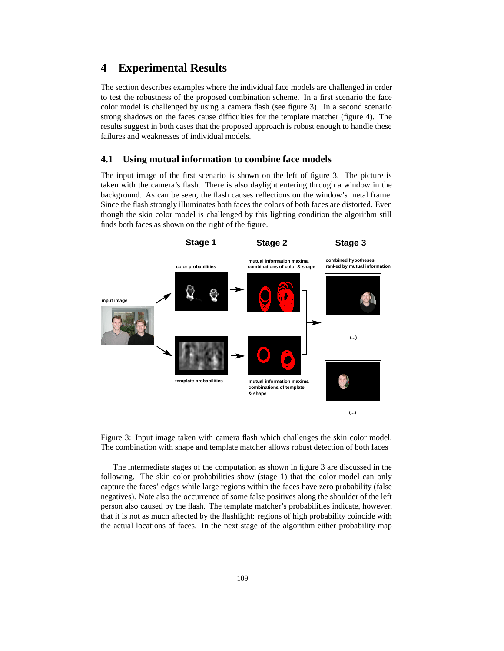# **4 Experimental Results**

The section describes examples where the individual face models are challenged in order to test the robustness of the proposed combination scheme. In a first scenario the face color model is challenged by using a camera flash (see figure 3). In a second scenario strong shadows on the faces cause difficulties for the template matcher (figure 4). The results suggest in both cases that the proposed approach is robust enough to handle these failures and weaknesses of individual models.

#### **4.1 Using mutual information to combine face models**

The input image of the first scenario is shown on the left of figure 3. The picture is taken with the camera's flash. There is also daylight entering through a window in the background. As can be seen, the flash causes reflections on the window's metal frame. Since the flash strongly illuminates both faces the colors of both faces are distorted. Even though the skin color model is challenged by this lighting condition the algorithm still finds both faces as shown on the right of the figure.





The intermediate stages of the computation as shown in figure 3 are discussed in the following. The skin color probabilities show (stage 1) that the color model can only capture the faces' edges while large regions within the faces have zero probability (false negatives). Note also the occurrence of some false positives along the shoulder of the left person also caused by the flash. The template matcher's probabilities indicate, however, that it is not as much affected by the flashlight: regions of high probability coincide with the actual locations of faces. In the next stage of the algorithm either probability map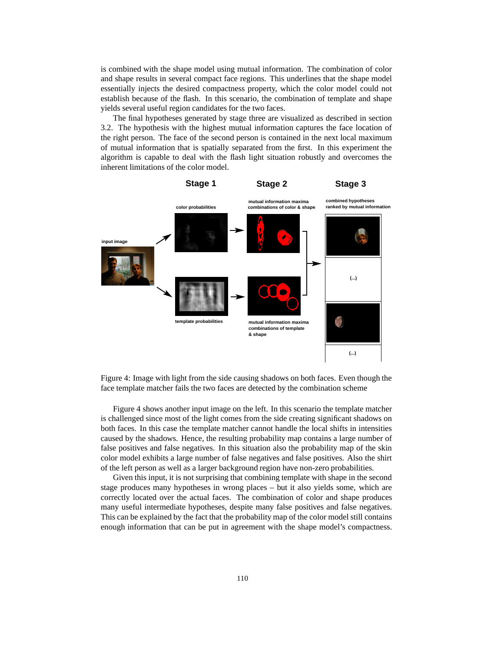is combined with the shape model using mutual information. The combination of color and shape results in several compact face regions. This underlines that the shape model essentially injects the desired compactness property, which the color model could not establish because of the flash. In this scenario, the combination of template and shape yields several useful region candidates for the two faces.

The final hypotheses generated by stage three are visualized as described in section 3.2. The hypothesis with the highest mutual information captures the face location of the right person. The face of the second person is contained in the next local maximum of mutual information that is spatially separated from the first. In this experiment the algorithm is capable to deal with the flash light situation robustly and overcomes the inherent limitations of the color model.



Figure 4: Image with light from the side causing shadows on both faces. Even though the face template matcher fails the two faces are detected by the combination scheme

Figure 4 shows another input image on the left. In this scenario the template matcher is challenged since most of the light comes from the side creating significant shadows on both faces. In this case the template matcher cannot handle the local shifts in intensities caused by the shadows. Hence, the resulting probability map contains a large number of false positives and false negatives. In this situation also the probability map of the skin color model exhibits a large number of false negatives and false positives. Also the shirt of the left person as well as a larger background region have non-zero probabilities.

Given this input, it is not surprising that combining template with shape in the second stage produces many hypotheses in wrong places – but it also yields some, which are correctly located over the actual faces. The combination of color and shape produces many useful intermediate hypotheses, despite many false positives and false negatives. This can be explained by the fact that the probability map of the color model still contains enough information that can be put in agreement with the shape model's compactness.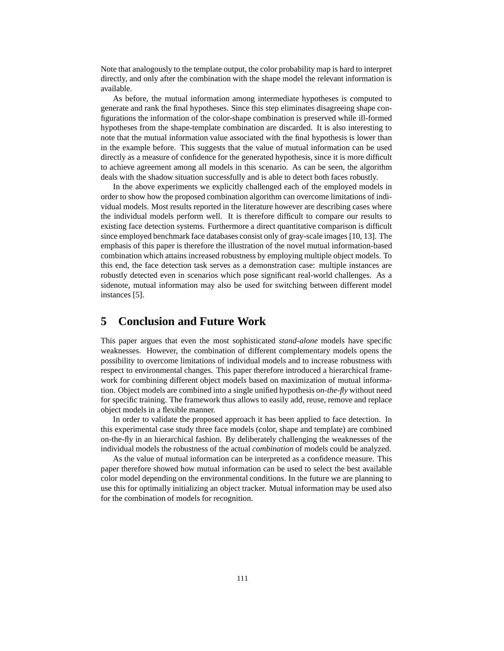Note that analogously to the template output, the color probability map is hard to interpret directly, and only after the combination with the shape model the relevant information is available.

As before, the mutual information among intermediate hypotheses is computed to generate and rank the final hypotheses. Since this step eliminates disagreeing shape configurations the information of the color-shape combination is preserved while ill-formed hypotheses from the shape-template combination are discarded. It is also interesting to note that the mutual information value associated with the final hypothesis is lower than in the example before. This suggests that the value of mutual information can be used directly as a measure of confidence for the generated hypothesis, since it is more difficult to achieve agreement among all models in this scenario. As can be seen, the algorithm deals with the shadow situation successfully and is able to detect both faces robustly.

In the above experiments we explicitly challenged each of the employed models in order to show how the proposed combination algorithm can overcome limitations of individual models. Most results reported in the literature however are describing cases where the individual models perform well. It is therefore difficult to compare our results to existing face detection systems. Furthermore a direct quantitative comparison is difficult since employed benchmark face databases consist only of gray-scale images [10, 13]. The emphasis of this paper is therefore the illustration of the novel mutual information-based combination which attains increased robustness by employing multiple object models. To this end, the face detection task serves as a demonstration case: multiple instances are robustly detected even in scenarios which pose significant real-world challenges. As a sidenote, mutual information may also be used for switching between different model instances [5].

# **5 Conclusion and Future Work**

This paper argues that even the most sophisticated *stand-alone* models have specific weaknesses. However, the combination of different complementary models opens the possibility to overcome limitations of individual models and to increase robustness with respect to environmental changes. This paper therefore introduced a hierarchical framework for combining different object models based on maximization of mutual information. Object models are combined into a single unified hypothesis *on-the-fly* without need for specific training. The framework thus allows to easily add, reuse, remove and replace object models in a flexible manner.

In order to validate the proposed approach it has been applied to face detection. In this experimental case study three face models (color, shape and template) are combined on-the-fly in an hierarchical fashion. By deliberately challenging the weaknesses of the individual models the robustness of the actual *combination* of models could be analyzed.

As the value of mutual information can be interpreted as a confidence measure. This paper therefore showed how mutual information can be used to select the best available color model depending on the environmental conditions. In the future we are planning to use this for optimally initializing an object tracker. Mutual information may be used also for the combination of models for recognition.